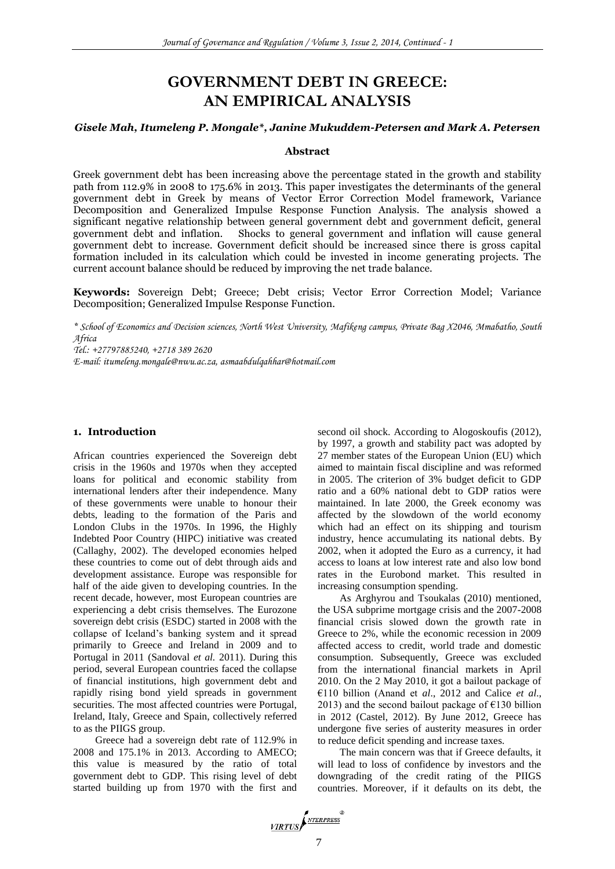# **GOVERNMENT DEBT IN GREECE: AN EMPIRICAL ANALYSIS**

# *Gisele Mah, Itumeleng P. Mongale\*, Janine Mukuddem-Petersen and Mark A. Petersen*

# **Abstract**

Greek government debt has been increasing above the percentage stated in the growth and stability path from 112.9% in 2008 to 175.6% in 2013. This paper investigates the determinants of the general government debt in Greek by means of Vector Error Correction Model framework, Variance Decomposition and Generalized Impulse Response Function Analysis. The analysis showed a significant negative relationship between general government debt and government deficit, general Shocks to general government and inflation will cause general government debt to increase. Government deficit should be increased since there is gross capital formation included in its calculation which could be invested in income generating projects. The current account balance should be reduced by improving the net trade balance.

**Keywords:** Sovereign Debt; Greece; Debt crisis; Vector Error Correction Model; Variance Decomposition; Generalized Impulse Response Function.

*\* School of Economics and Decision sciences, North West University, Mafikeng campus, Private Bag X2046, Mmabatho, South Africa*

*Tel.: +27797885240, +2718 389 2620*

*E-mail: itumeleng.mongale@nwu.ac.za, asmaabdulqahhar@hotmail.com*

# **1. Introduction**

African countries experienced the Sovereign debt crisis in the 1960s and 1970s when they accepted loans for political and economic stability from international lenders after their independence. Many of these governments were unable to honour their debts, leading to the formation of the Paris and London Clubs in the 1970s. In 1996, the Highly Indebted Poor Country (HIPC) initiative was created (Callaghy, 2002). The developed economies helped these countries to come out of debt through aids and development assistance. Europe was responsible for half of the aide given to developing countries. In the recent decade, however, most European countries are experiencing a debt crisis themselves. The Eurozone sovereign debt crisis (ESDC) started in 2008 with the collapse of Iceland's banking system and it spread primarily to Greece and Ireland in 2009 and to Portugal in 2011 (Sandoval *et al.* 2011). During this period, several European countries faced the collapse of financial institutions, high government debt and rapidly rising bond yield spreads in government securities. The most affected countries were Portugal, Ireland, Italy, Greece and Spain, collectively referred to as the PIIGS group.

Greece had a sovereign debt rate of 112.9% in 2008 and 175.1% in 2013. According to AMECO; this value is measured by the ratio of total government debt to GDP. This rising level of debt started building up from 1970 with the first and

second oil shock. According to Alogoskoufis (2012), by 1997, a growth and stability pact was adopted by 27 member states of the European Union (EU) which aimed to maintain fiscal discipline and was reformed in 2005. The criterion of 3% budget deficit to GDP ratio and a 60% national debt to GDP ratios were maintained. In late 2000, the Greek economy was affected by the slowdown of the world economy which had an effect on its shipping and tourism industry, hence accumulating its national debts. By 2002, when it adopted the Euro as a currency, it had access to loans at low interest rate and also low bond rates in the Eurobond market. This resulted in increasing consumption spending.

As Arghyrou and Tsoukalas (2010) mentioned, the USA subprime mortgage crisis and the 2007-2008 financial crisis slowed down the growth rate in Greece to 2%, while the economic recession in 2009 affected access to credit, world trade and domestic consumption. Subsequently, Greece was excluded from the international financial markets in April 2010. On the 2 May 2010, it got a bailout package of €110 billion (Anand et *al*., 2012 and Calice *et al*., 2013) and the second bailout package of  $E$ 130 billion in 2012 (Castel, 2012). By June 2012, Greece has undergone five series of austerity measures in order to reduce deficit spending and increase taxes.

The main concern was that if Greece defaults, it will lead to loss of confidence by investors and the downgrading of the credit rating of the PIIGS countries. Moreover, if it defaults on its debt, the

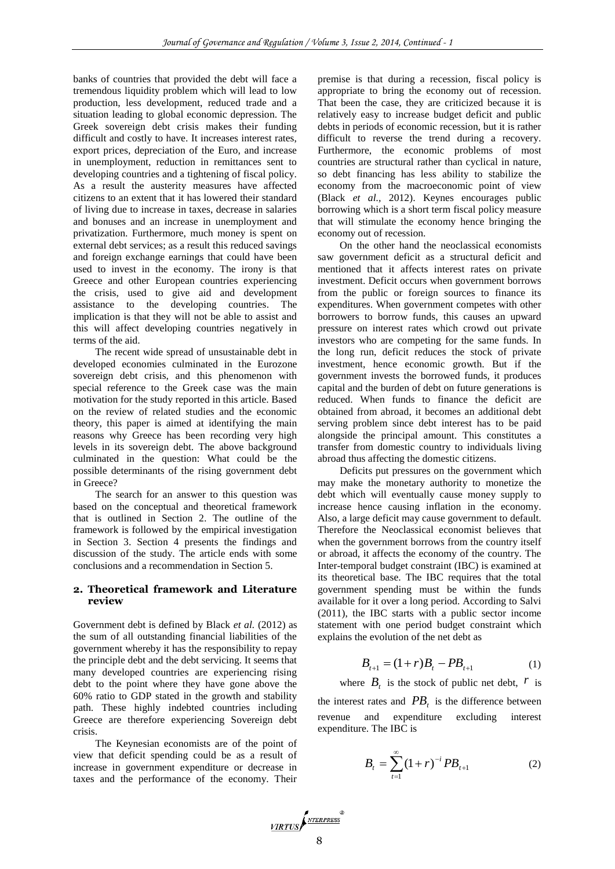banks of countries that provided the debt will face a tremendous liquidity problem which will lead to low production, less development, reduced trade and a situation leading to global economic depression. The Greek sovereign debt crisis makes their funding difficult and costly to have. It increases interest rates, export prices, depreciation of the Euro, and increase in unemployment, reduction in remittances sent to developing countries and a tightening of fiscal policy. As a result the austerity measures have affected citizens to an extent that it has lowered their standard of living due to increase in taxes, decrease in salaries and bonuses and an increase in unemployment and privatization. Furthermore, much money is spent on external debt services; as a result this reduced savings and foreign exchange earnings that could have been used to invest in the economy. The irony is that Greece and other European countries experiencing the crisis, used to give aid and development assistance to the developing countries. The implication is that they will not be able to assist and this will affect developing countries negatively in terms of the aid.

The recent wide spread of unsustainable debt in developed economies culminated in the Eurozone sovereign debt crisis, and this phenomenon with special reference to the Greek case was the main motivation for the study reported in this article. Based on the review of related studies and the economic theory, this paper is aimed at identifying the main reasons why Greece has been recording very high levels in its sovereign debt. The above background culminated in the question: What could be the possible determinants of the rising government debt in Greece?

The search for an answer to this question was based on the conceptual and theoretical framework that is outlined in Section 2. The outline of the framework is followed by the empirical investigation in Section 3. Section 4 presents the findings and discussion of the study. The article ends with some conclusions and a recommendation in Section 5.

#### **2. Theoretical framework and Literature review**

Government debt is defined by Black *et al.* (2012) as the sum of all outstanding financial liabilities of the government whereby it has the responsibility to repay the principle debt and the debt servicing. It seems that many developed countries are experiencing rising debt to the point where they have gone above the 60% ratio to GDP stated in the growth and stability path. These highly indebted countries including Greece are therefore experiencing Sovereign debt crisis.

The Keynesian economists are of the point of view that deficit spending could be as a result of increase in government expenditure or decrease in taxes and the performance of the economy. Their premise is that during a recession, fiscal policy is appropriate to bring the economy out of recession. That been the case, they are criticized because it is relatively easy to increase budget deficit and public debts in periods of economic recession, but it is rather difficult to reverse the trend during a recovery. Furthermore, the economic problems of most countries are structural rather than cyclical in nature, so debt financing has less ability to stabilize the economy from the macroeconomic point of view (Black *et al.,* 2012). Keynes encourages public borrowing which is a short term fiscal policy measure that will stimulate the economy hence bringing the economy out of recession.

On the other hand the neoclassical economists saw government deficit as a structural deficit and mentioned that it affects interest rates on private investment. Deficit occurs when government borrows from the public or foreign sources to finance its expenditures. When government competes with other borrowers to borrow funds, this causes an upward pressure on interest rates which crowd out private investors who are competing for the same funds. In the long run, deficit reduces the stock of private investment, hence economic growth. But if the government invests the borrowed funds, it produces capital and the burden of debt on future generations is reduced. When funds to finance the deficit are obtained from abroad, it becomes an additional debt serving problem since debt interest has to be paid alongside the principal amount. This constitutes a transfer from domestic country to individuals living abroad thus affecting the domestic citizens.

Deficits put pressures on the government which may make the monetary authority to monetize the debt which will eventually cause money supply to increase hence causing inflation in the economy. Also, a large deficit may cause government to default. Therefore the Neoclassical economist believes that when the government borrows from the country itself or abroad, it affects the economy of the country. The Inter-temporal budget constraint (IBC) is examined at its theoretical base. The IBC requires that the total government spending must be within the funds available for it over a long period. According to Salvi (2011), the IBC starts with a public sector income statement with one period budget constraint which explains the evolution of the net debt as

$$
B_{t+1} = (1+r)B_t - PB_{t+1} \tag{1}
$$

where  $B_t$  is the stock of public net debt,  $r$  is

the interest rates and  $PB<sub>t</sub>$  is the difference between revenue and expenditure excluding interest expenditure. The IBC is

$$
B_t = \sum_{t=1}^{\infty} (1+r)^{-t} P B_{t+1}
$$
 (2)

# VIRTUS NTERPRESS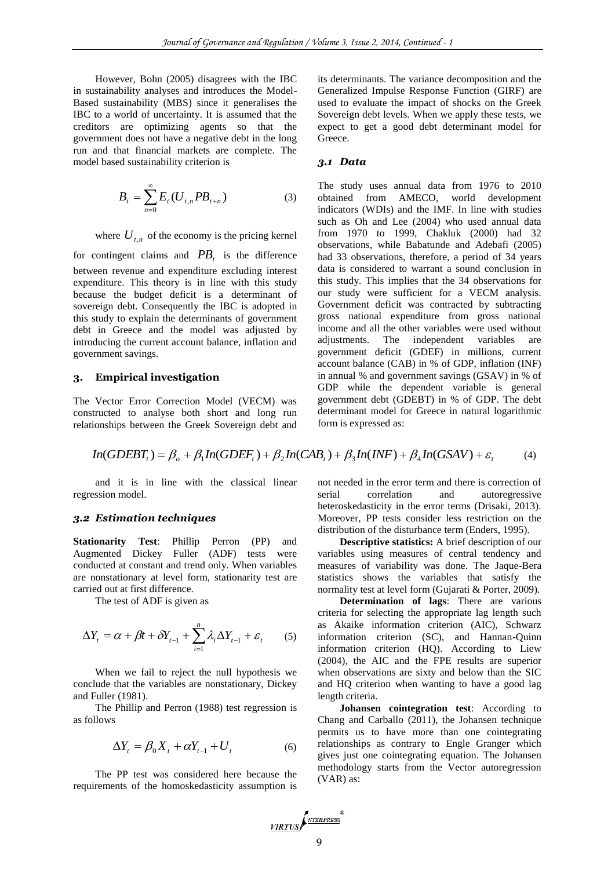However, Bohn (2005) disagrees with the IBC in sustainability analyses and introduces the Model-Based sustainability (MBS) since it generalises the IBC to a world of uncertainty. It is assumed that the creditors are optimizing agents so that the government does not have a negative debt in the long run and that financial markets are complete. The model based sustainability criterion is

$$
B_t = \sum_{n=0}^{\infty} E_t (U_{t,n} P B_{t+n})
$$
 (3)

where  $U_{t,n}$  of the economy is the pricing kernel

for contingent claims and  $PB<sub>t</sub>$  is the difference between revenue and expenditure excluding interest expenditure. This theory is in line with this study because the budget deficit is a determinant of sovereign debt. Consequently the IBC is adopted in this study to explain the determinants of government debt in Greece and the model was adjusted by introducing the current account balance, inflation and government savings.

# **3. Empirical investigation**

The Vector Error Correction Model (VECM) was constructed to analyse both short and long run relationships between the Greek Sovereign debt and its determinants. The variance decomposition and the Generalized Impulse Response Function (GIRF) are used to evaluate the impact of shocks on the Greek Sovereign debt levels. When we apply these tests, we expect to get a good debt determinant model for Greece.

#### *3.1 Data*

The study uses annual data from 1976 to 2010 obtained from AMECO, world development indicators (WDIs) and the IMF. In line with studies such as Oh and Lee (2004) who used annual data from 1970 to 1999, Chakluk (2000) had 32 observations, while Babatunde and Adebafi (2005) had 33 observations, therefore, a period of 34 years data is considered to warrant a sound conclusion in this study. This implies that the 34 observations for our study were sufficient for a VECM analysis. Government deficit was contracted by subtracting gross national expenditure from gross national income and all the other variables were used without adjustments. The independent variables are government deficit (GDEF) in millions, current account balance (CAB) in % of GDP, inflation (INF) in annual % and government savings (GSAV) in % of GDP while the dependent variable is general government debt (GDEBT) in % of GDP. The debt determinant model for Greece in natural logarithmic form is expressed as:

$$
In(GDEBT_t) = \beta_o + \beta_1 In(GDEF_t) + \beta_2 In(CAB_t) + \beta_3 In(INF) + \beta_4 In(GSAV) + \varepsilon_t
$$
 (4)

and it is in line with the classical linear regression model.

#### *3.2 Estimation techniques*

**Stationarity Test**: Phillip Perron (PP) and Augmented Dickey Fuller (ADF) tests were conducted at constant and trend only. When variables are nonstationary at level form, stationarity test are carried out at first difference.

The test of ADF is given as

$$
\Delta Y_t = \alpha + \beta t + \delta Y_{t-1} + \sum_{i=1}^n \lambda_i \Delta Y_{t-1} + \varepsilon_t \qquad (5)
$$

When we fail to reject the null hypothesis we conclude that the variables are nonstationary, Dickey and Fuller (1981).

The Phillip and Perron (1988) test regression is as follows

$$
\Delta Y_t = \beta_0 X_t + \alpha Y_{t-1} + U_t \tag{6}
$$

The PP test was considered here because the requirements of the homoskedasticity assumption is not needed in the error term and there is correction of serial correlation and autoregressive heteroskedasticity in the error terms (Drisaki, 2013). Moreover, PP tests consider less restriction on the distribution of the disturbance term (Enders, 1995).

**Descriptive statistics:** A brief description of our variables using measures of central tendency and measures of variability was done. The Jaque-Bera statistics shows the variables that satisfy the normality test at level form (Gujarati & Porter, 2009).

**Determination of lags**: There are various criteria for selecting the appropriate lag length such as Akaike information criterion (AIC), Schwarz information criterion (SC), and Hannan-Quinn information criterion (HQ). According to Liew (2004), the AIC and the FPE results are superior when observations are sixty and below than the SIC and HQ criterion when wanting to have a good lag length criteria.

**Johansen cointegration test**: According to Chang and Carballo (2011), the Johansen technique permits us to have more than one cointegrating relationships as contrary to Engle Granger which gives just one cointegrating equation. The Johansen methodology starts from the Vector autoregression (VAR) as:

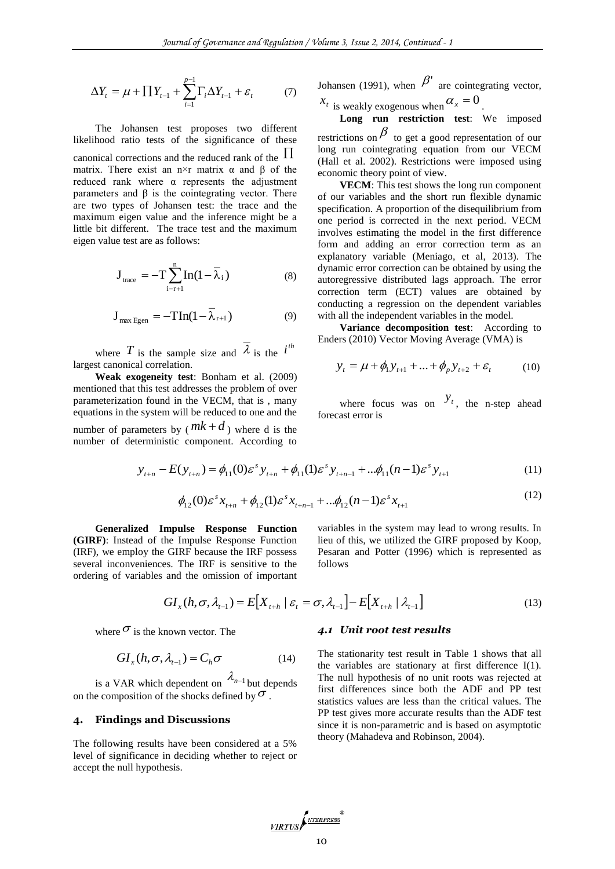$$
\Delta Y_t = \mu + \prod Y_{t-1} + \sum_{i=1}^{p-1} \Gamma_i \Delta Y_{t-1} + \varepsilon_t \tag{7}
$$

The Johansen test proposes two different likelihood ratio tests of the significance of these canonical corrections and the reduced rank of the  $\,\Pi\,$ matrix. There exist an n×r matrix  $\alpha$  and  $\beta$  of the reduced rank where α represents the adjustment parameters and β is the cointegrating vector. There are two types of Johansen test: the trace and the maximum eigen value and the inference might be a little bit different. The trace test and the maximum eigen value test are as follows:

$$
\mathbf{J}_{\text{trace}} = -\mathbf{T} \sum_{i-r+1}^{n} \text{In}(1 - \overline{\lambda}_{i})
$$
 (8)

$$
\mathbf{J}_{\text{max Egen}} = -\mathbf{T} \mathbf{In} (1 - \overline{\lambda}_{r+1}) \tag{9}
$$

where T is the sample size and  $\lambda$  is the  $i^{th}$ largest canonical correlation.

**Weak exogeneity test**: Bonham et al. (2009) mentioned that this test addresses the problem of over parameterization found in the VECM, that is , many equations in the system will be reduced to one and the number of parameters by  $(mk + d)$  where d is the number of deterministic component. According to

Johansen (1991), when  $\beta'$  are cointegrating vector,

 $x_t$  is weakly exogenous when  $\alpha_x = 0$ .

**Long run restriction test**: We imposed restrictions on  $\beta$  to get a good representation of our

long run cointegrating equation from our VECM (Hall et al. 2002). Restrictions were imposed using economic theory point of view.

**VECM**: This test shows the long run component of our variables and the short run flexible dynamic specification. A proportion of the disequilibrium from one period is corrected in the next period. VECM involves estimating the model in the first difference form and adding an error correction term as an explanatory variable (Meniago, et al, 2013). The dynamic error correction can be obtained by using the autoregressive distributed lags approach. The error correction term (ECT) values are obtained by conducting a regression on the dependent variables with all the independent variables in the model.

**Variance decomposition test**: According to Enders (2010) Vector Moving Average (VMA) is

$$
y_{t} = \mu + \phi_{1} y_{t+1} + \ldots + \phi_{p} y_{t+2} + \varepsilon_{t}
$$
 (10)

where focus was on  $y_t$ , the n-step ahead forecast error is

$$
y_{t+n} - E(y_{t+n}) = \phi_{11}(0)\varepsilon^{s} y_{t+n} + \phi_{11}(1)\varepsilon^{s} y_{t+n-1} + \dots + \phi_{11}(n-1)\varepsilon^{s} y_{t+1}
$$
(11)

$$
\phi_{12}(0)\varepsilon^{s} x_{t+n} + \phi_{12}(1)\varepsilon^{s} x_{t+n-1} + \dots + \phi_{12}(n-1)\varepsilon^{s} x_{t+1}
$$
\n(12)

**Generalized Impulse Response Function (GIRF)**: Instead of the Impulse Response Function (IRF), we employ the GIRF because the IRF possess several inconveniences. The IRF is sensitive to the ordering of variables and the omission of important variables in the system may lead to wrong results. In lieu of this, we utilized the GIRF proposed by Koop, Pesaran and Potter (1996) which is represented as follows

 $(12)$ 

$$
GI_{x}(h,\sigma,\lambda_{t-1})=E[X_{t+h} | \varepsilon_{t}=\sigma,\lambda_{t-1}]-E[X_{t+h} | \lambda_{t-1}]
$$
\n(13)

where  $\sigma$  is the known vector. The

$$
GI_{x}(h,\sigma,\lambda_{t-1}) = C_{h}\sigma \tag{14}
$$

is a VAR which dependent on  $\lambda_{n-1}$  but depends on the composition of the shocks defined by  $\sigma$ .

#### **4. Findings and Discussions**

The following results have been considered at a 5% level of significance in deciding whether to reject or accept the null hypothesis.

#### *4.1 Unit root test results*

The stationarity test result in Table 1 shows that all the variables are stationary at first difference I(1). The null hypothesis of no unit roots was rejected at first differences since both the ADF and PP test statistics values are less than the critical values. The PP test gives more accurate results than the ADF test since it is non-parametric and is based on asymptotic theory (Mahadeva and Robinson, 2004).

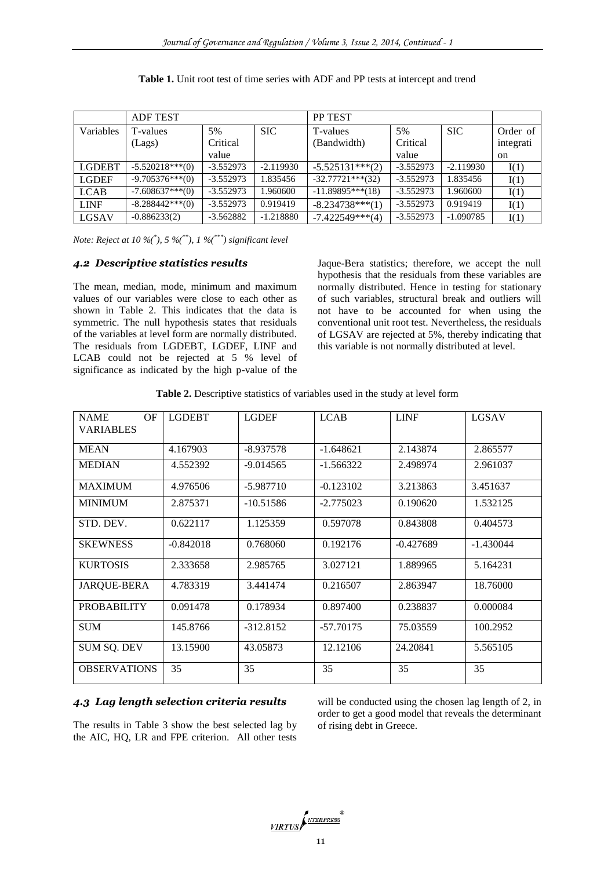|               | <b>ADF TEST</b>   |             |             | <b>PP TEST</b>      |             |             |               |
|---------------|-------------------|-------------|-------------|---------------------|-------------|-------------|---------------|
| Variables     | T-values          | 5%          | <b>SIC</b>  | T-values            | 5%          | <b>SIC</b>  | Order of      |
|               | (Lags)            | Critical    |             | (Bandwidth)         | Critical    |             | integrati     |
|               |                   | value       |             |                     | value       |             | <sub>on</sub> |
| <b>LGDEBT</b> | $-5.520218***(0)$ | $-3.552973$ | $-2.119930$ | $-5.525131***(2)$   | $-3.552973$ | $-2.119930$ | I(1)          |
| <b>LGDEF</b>  | $-9.705376***(0)$ | $-3.552973$ | 1.835456    | $-32.77721***$ (32) | $-3.552973$ | 1.835456    | I(1)          |
| <b>LCAB</b>   | $-7.608637***(0)$ | $-3.552973$ | 1.960600    | $-11.89895***(18)$  | $-3.552973$ | 1.960600    | I(1)          |
| <b>LINF</b>   | $-8.288442**(0)$  | $-3.552973$ | 0.919419    | $-8.234738***(1)$   | $-3.552973$ | 0.919419    | I(1)          |
| LGSAV         | $-0.886233(2)$    | $-3.562882$ | $-1.218880$ | $-7.422549***(4)$   | $-3.552973$ | $-1.090785$ | I(1)          |

|  |  |  |  |  | <b>Table 1.</b> Unit root test of time series with ADF and PP tests at intercept and trend |  |
|--|--|--|--|--|--------------------------------------------------------------------------------------------|--|
|--|--|--|--|--|--------------------------------------------------------------------------------------------|--|

*Note: Reject at 10 %(\* ), 5 %(\*\*), 1 %(\*\*\*) significant level*

# *4.2 Descriptive statistics results*

The mean, median, mode, minimum and maximum values of our variables were close to each other as shown in Table 2. This indicates that the data is symmetric. The null hypothesis states that residuals of the variables at level form are normally distributed. The residuals from LGDEBT, LGDEF, LINF and LCAB could not be rejected at 5 % level of significance as indicated by the high p-value of the Jaque-Bera statistics; therefore, we accept the null hypothesis that the residuals from these variables are normally distributed. Hence in testing for stationary of such variables, structural break and outliers will not have to be accounted for when using the conventional unit root test. Nevertheless, the residuals of LGSAV are rejected at 5%, thereby indicating that this variable is not normally distributed at level.

| Table 2. Descriptive statistics of variables used in the study at level form |  |  |  |  |  |
|------------------------------------------------------------------------------|--|--|--|--|--|
|------------------------------------------------------------------------------|--|--|--|--|--|

| <b>NAME</b><br>OF<br><b>VARIABLES</b> | <b>LGDEBT</b> | <b>LGDEF</b> | <b>LCAB</b> | <b>LINF</b> | <b>LGSAV</b> |
|---------------------------------------|---------------|--------------|-------------|-------------|--------------|
| <b>MEAN</b>                           | 4.167903      | $-8.937578$  | $-1.648621$ | 2.143874    | 2.865577     |
| <b>MEDIAN</b>                         | 4.552392      | $-9.014565$  | $-1.566322$ | 2.498974    | 2.961037     |
| <b>MAXIMUM</b>                        | 4.976506      | $-5.987710$  | $-0.123102$ | 3.213863    | 3.451637     |
| <b>MINIMUM</b>                        | 2.875371      | $-10.51586$  | $-2.775023$ | 0.190620    | 1.532125     |
| STD. DEV.                             | 0.622117      | 1.125359     | 0.597078    | 0.843808    | 0.404573     |
| <b>SKEWNESS</b>                       | $-0.842018$   | 0.768060     | 0.192176    | $-0.427689$ | $-1.430044$  |
| <b>KURTOSIS</b>                       | 2.333658      | 2.985765     | 3.027121    | 1.889965    | 5.164231     |
| <b>JARQUE-BERA</b>                    | 4.783319      | 3.441474     | 0.216507    | 2.863947    | 18.76000     |
| <b>PROBABILITY</b>                    | 0.091478      | 0.178934     | 0.897400    | 0.238837    | 0.000084     |
| <b>SUM</b>                            | 145.8766      | $-312.8152$  | $-57.70175$ | 75.03559    | 100.2952     |
| <b>SUM SQ. DEV</b>                    | 13.15900      | 43.05873     | 12.12106    | 24.20841    | 5.565105     |
| <b>OBSERVATIONS</b>                   | 35            | 35           | 35          | 35          | 35           |

# *4.3 Lag length selection criteria results*

The results in Table 3 show the best selected lag by the AIC, HQ, LR and FPE criterion. All other tests will be conducted using the chosen lag length of 2, in order to get a good model that reveals the determinant of rising debt in Greece.

VIRTUS NEERPRESS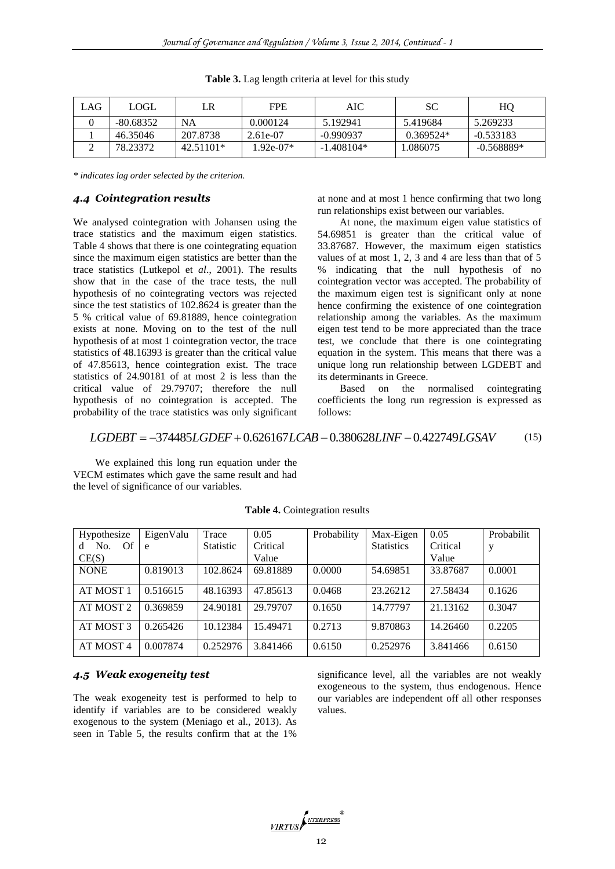| LAG | <b>LOGL</b> | LR          | <b>FPE</b>  | AIC          | SC          | HO           |
|-----|-------------|-------------|-------------|--------------|-------------|--------------|
|     | $-80.68352$ | NA          | 0.000124    | 5.192941     | 5.419684    | 5.269233     |
|     | 46.35046    | 207.8738    | 2.61e-07    | $-0.990937$  | $0.369524*$ | $-0.533183$  |
| ∸   | 78.23372    | $42.51101*$ | $1.92e-07*$ | $-1.408104*$ | .086075     | $-0.568889*$ |

**Table 3.** Lag length criteria at level for this study

*\* indicates lag order selected by the criterion.*

# *4.4 Cointegration results*

We analysed cointegration with Johansen using the trace statistics and the maximum eigen statistics. Table 4 shows that there is one cointegrating equation since the maximum eigen statistics are better than the trace statistics (Lutkepol et *al*., 2001). The results show that in the case of the trace tests, the null hypothesis of no cointegrating vectors was rejected since the test statistics of 102.8624 is greater than the 5 % critical value of 69.81889, hence cointegration exists at none. Moving on to the test of the null hypothesis of at most 1 cointegration vector, the trace statistics of 48.16393 is greater than the critical value of 47.85613, hence cointegration exist. The trace statistics of 24.90181 of at most 2 is less than the critical value of 29.79707; therefore the null hypothesis of no cointegration is accepted. The probability of the trace statistics was only significant

at none and at most 1 hence confirming that two long run relationships exist between our variables.

At none, the maximum eigen value statistics of 54.69851 is greater than the critical value of 33.87687. However, the maximum eigen statistics values of at most 1, 2, 3 and 4 are less than that of 5 % indicating that the null hypothesis of no cointegration vector was accepted. The probability of the maximum eigen test is significant only at none hence confirming the existence of one cointegration relationship among the variables. As the maximum eigen test tend to be more appreciated than the trace test, we conclude that there is one cointegrating equation in the system. This means that there was a unique long run relationship between LGDEBT and its determinants in Greece.

Based on the normalised cointegrating coefficients the long run regression is expressed as follows:

*LGDEBT* 374485*LGDEF* 0.626167*LCAB* 0.380628*LINF* 0.422749*LGSAV* (15)

We explained this long run equation under the VECM estimates which gave the same result and had the level of significance of our variables.

| Hypothesize                 | EigenValu | Trace     | 0.05     | Probability | Max-Eigen         | 0.05     | Probabilit |
|-----------------------------|-----------|-----------|----------|-------------|-------------------|----------|------------|
| No.<br>- Of<br><sub>d</sub> | e         | Statistic | Critical |             | <b>Statistics</b> | Critical | у          |
| CE(S)                       |           |           | Value    |             |                   | Value    |            |
| <b>NONE</b>                 | 0.819013  | 102.8624  | 69.81889 | 0.0000      | 54.69851          | 33.87687 | 0.0001     |
|                             |           |           |          |             |                   |          |            |
| AT MOST 1                   | 0.516615  | 48.16393  | 47.85613 | 0.0468      | 23.26212          | 27.58434 | 0.1626     |
| AT MOST 2                   | 0.369859  | 24.90181  | 29.79707 | 0.1650      | 14.77797          | 21.13162 | 0.3047     |
| AT MOST 3                   | 0.265426  | 10.12384  | 15.49471 | 0.2713      | 9.870863          | 14.26460 | 0.2205     |
| AT MOST 4                   | 0.007874  | 0.252976  | 3.841466 | 0.6150      | 0.252976          | 3.841466 | 0.6150     |

**Table 4.** Cointegration results

# *4.5 Weak exogeneity test*

The weak exogeneity test is performed to help to identify if variables are to be considered weakly exogenous to the system (Meniago et al., 2013). As seen in Table 5, the results confirm that at the 1% significance level, all the variables are not weakly exogeneous to the system, thus endogenous. Hence our variables are independent off all other responses values.

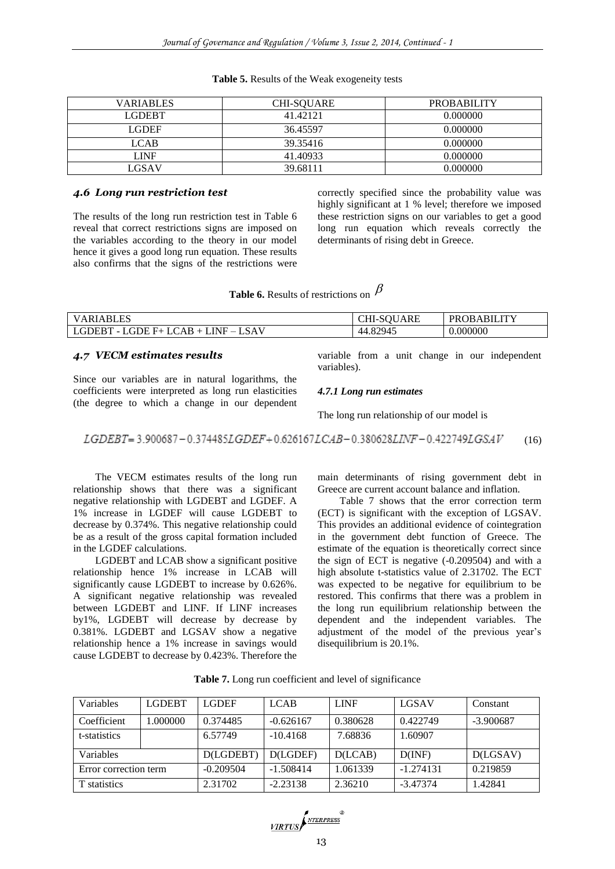| <b>VARIABLES</b> | <b>CHI-SOUARE</b> | <b>PROBABILITY</b> |
|------------------|-------------------|--------------------|
| LGDEBT.          | 41.42121          | 0.000000           |
| LGDEF.           | 36.45597          | 0.000000           |
| <b>LCAB</b>      | 39.35416          | 0.000000           |
| LINF             | 41.40933          | 0.000000           |
| LGSAV            | 39.68111          | 0.000000           |

#### **Table 5.** Results of the Weak exogeneity tests

### *4.6 Long run restriction test*

The results of the long run restriction test in Table 6 reveal that correct restrictions signs are imposed on the variables according to the theory in our model hence it gives a good long run equation. These results also confirms that the signs of the restrictions were correctly specified since the probability value was highly significant at 1 % level; therefore we imposed these restriction signs on our variables to get a good long run equation which reveals correctly the determinants of rising debt in Greece.

| <b>Table 6.</b> Results of restrictions on $P$ |  |  |  |
|------------------------------------------------|--|--|--|
|------------------------------------------------|--|--|--|

| <b>VARIABLES</b>                                             | UARE<br>יי יכ-וח $\cup$ | OBABILITY<br><b>PR</b> |
|--------------------------------------------------------------|-------------------------|------------------------|
| GDE<br>! A<br>LINE.<br>)EB.<br>A R<br>6 H.L<br><u>_</u><br>- | .82945<br>44            | 0.000000               |

#### *4.7 VECM estimates results*

Since our variables are in natural logarithms, the coefficients were interpreted as long run elasticities (the degree to which a change in our dependent variable from a unit change in our independent variables).

#### *4.7.1 Long run estimates*

 $\overline{\rho}$ 

The long run relationship of our model is

 $LGDEBT = 3.900687 - 0.374485LGDEF + 0.626167LCAB - 0.380628LINF - 0.422749LGSAV$ (16)

The VECM estimates results of the long run relationship shows that there was a significant negative relationship with LGDEBT and LGDEF. A 1% increase in LGDEF will cause LGDEBT to decrease by 0.374%. This negative relationship could be as a result of the gross capital formation included in the LGDEF calculations.

LGDEBT and LCAB show a significant positive relationship hence 1% increase in LCAB will significantly cause LGDEBT to increase by 0.626%. A significant negative relationship was revealed between LGDEBT and LINF. If LINF increases by1%, LGDEBT will decrease by decrease by 0.381%. LGDEBT and LGSAV show a negative relationship hence a 1% increase in savings would cause LGDEBT to decrease by 0.423%. Therefore the

main determinants of rising government debt in Greece are current account balance and inflation.

Table 7 shows that the error correction term (ECT) is significant with the exception of LGSAV. This provides an additional evidence of cointegration in the government debt function of Greece. The estimate of the equation is theoretically correct since the sign of ECT is negative (-0.209504) and with a high absolute t-statistics value of 2.31702. The ECT was expected to be negative for equilibrium to be restored. This confirms that there was a problem in the long run equilibrium relationship between the dependent and the independent variables. The adjustment of the model of the previous year's disequilibrium is 20.1%.

| Variables             | <b>LGDEBT</b> | <b>LGDEF</b> | <b>LCAB</b> | <b>LINF</b> | <b>LGSAV</b> | Constant    |
|-----------------------|---------------|--------------|-------------|-------------|--------------|-------------|
| Coefficient           | 1.000000      | 0.374485     | $-0.626167$ | 0.380628    | 0.422749     | $-3.900687$ |
| t-statistics          |               | 6.57749      | $-10.4168$  | 7.68836     | 1.60907      |             |
| Variables             |               | D(LGDEBT)    | D(LGDEF)    | D(LCAB)     | D(INF)       | D(LGSAV)    |
| Error correction term |               | $-0.209504$  | $-1.508414$ | 1.061339    | $-1.274131$  | 0.219859    |
| T statistics          |               | 2.31702      | $-2.23138$  | 2.36210     | $-3.47374$   | 1.42841     |

**Table 7.** Long run coefficient and level of significance

VIRTUS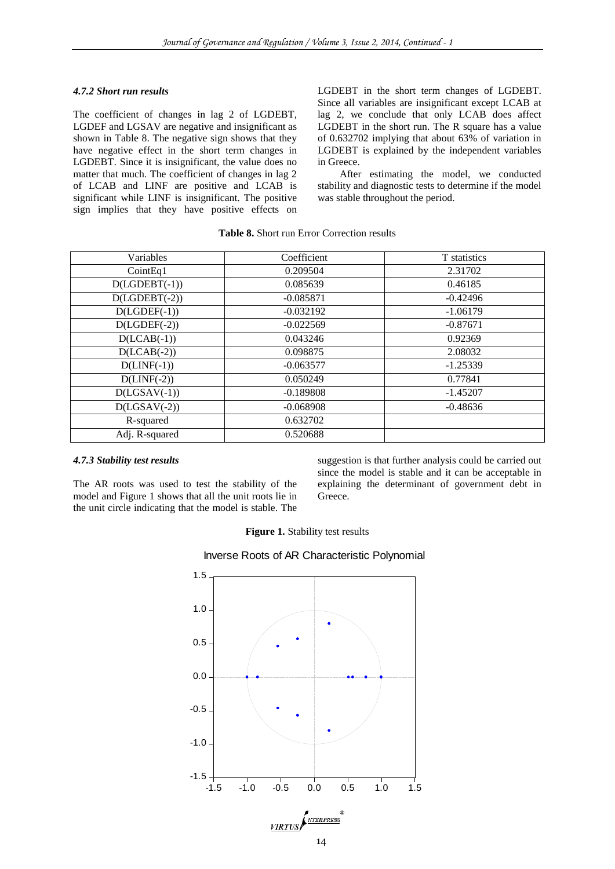#### *4.7.2 Short run results*

The coefficient of changes in lag 2 of LGDEBT, LGDEF and LGSAV are negative and insignificant as shown in Table 8. The negative sign shows that they have negative effect in the short term changes in LGDEBT. Since it is insignificant, the value does no matter that much. The coefficient of changes in lag 2 of LCAB and LINF are positive and LCAB is significant while LINF is insignificant. The positive sign implies that they have positive effects on LGDEBT in the short term changes of LGDEBT. Since all variables are insignificant except LCAB at lag 2, we conclude that only LCAB does affect LGDEBT in the short run. The R square has a value of 0.632702 implying that about 63% of variation in LGDEBT is explained by the independent variables in Greece.

After estimating the model, we conducted stability and diagnostic tests to determine if the model was stable throughout the period.

| <b>Table 8.</b> Short run Error Correction results |  |  |  |
|----------------------------------------------------|--|--|--|
|----------------------------------------------------|--|--|--|

| Variables       | Coefficient | T statistics |
|-----------------|-------------|--------------|
| CointEq1        | 0.209504    | 2.31702      |
| $D(LGDEBT(-1))$ | 0.085639    | 0.46185      |
| $D(LGDEBT(-2))$ | $-0.085871$ | $-0.42496$   |
| $D(LGDEF(-1))$  | $-0.032192$ | $-1.06179$   |
| $D(LGDEF(-2))$  | $-0.022569$ | $-0.87671$   |
| $D(LCAB(-1))$   | 0.043246    | 0.92369      |
| $D(LCAB(-2))$   | 0.098875    | 2.08032      |
| $D(LINF(-1))$   | $-0.063577$ | $-1.25339$   |
| $D(LINF(-2))$   | 0.050249    | 0.77841      |
| $D(LGSAV(-1))$  | $-0.189808$ | $-1.45207$   |
| $D(LGSAV(-2))$  | $-0.068908$ | $-0.48636$   |
| R-squared       | 0.632702    |              |
| Adj. R-squared  | 0.520688    |              |

#### *4.7.3 Stability test results*

The AR roots was used to test the stability of the model and Figure 1 shows that all the unit roots lie in the unit circle indicating that the model is stable. The suggestion is that further analysis could be carried out since the model is stable and it can be acceptable in explaining the determinant of government debt in Greece.

**Figure 1.** Stability test results



Inverse Roots of AR Characteristic Polynomial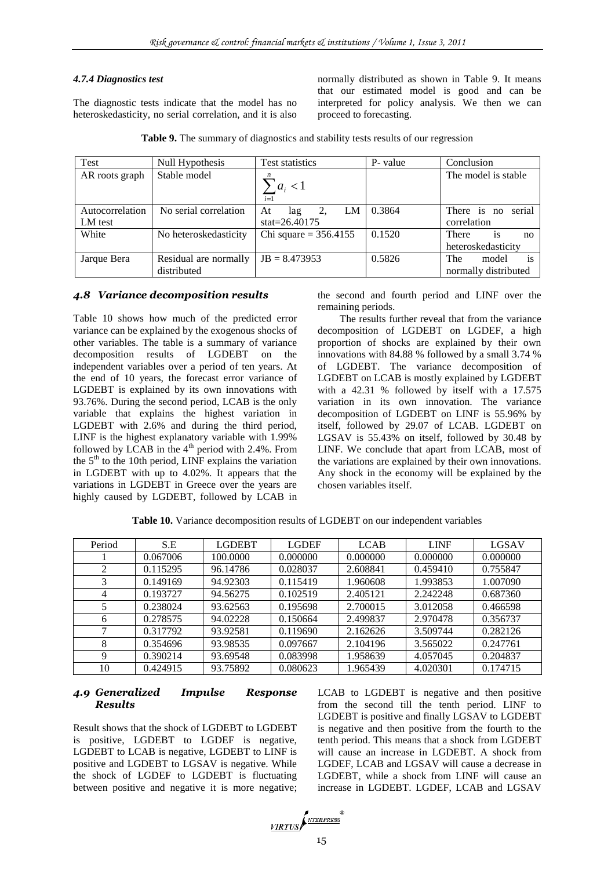# *4.7.4 Diagnostics test*

The diagnostic tests indicate that the model has no heteroskedasticity, no serial correlation, and it is also

normally distributed as shown in Table 9. It means that our estimated model is good and can be interpreted for policy analysis. We then we can proceed to forecasting.

| Test            | Null Hypothesis       | Test statistics         | P- value | Conclusion                    |  |  |
|-----------------|-----------------------|-------------------------|----------|-------------------------------|--|--|
| AR roots graph  | Stable model          | $a_i < 1$<br>$i=1$      |          | The model is stable           |  |  |
| Autocorrelation | No serial correlation | LM<br>At<br>lag         | 0.3864   | serial<br>There is no         |  |  |
| LM test         |                       | stat= $26.40175$        |          | correlation                   |  |  |
| White           | No heteroskedasticity | Chi square = $356.4155$ | 0.1520   | There<br><sup>1</sup> S<br>no |  |  |
|                 |                       |                         |          | heteroskedasticity            |  |  |
| Jarque Bera     | Residual are normally | $JB = 8.473953$         | 0.5826   | is<br>The<br>model            |  |  |
|                 | distributed           |                         |          | normally distributed          |  |  |

**Table 9.** The summary of diagnostics and stability tests results of our regression

# *4.8 Variance decomposition results*

Table 10 shows how much of the predicted error variance can be explained by the exogenous shocks of other variables. The table is a summary of variance decomposition results of LGDEBT on the independent variables over a period of ten years. At the end of 10 years, the forecast error variance of LGDEBT is explained by its own innovations with 93.76%. During the second period, LCAB is the only variable that explains the highest variation in LGDEBT with 2.6% and during the third period, LINF is the highest explanatory variable with 1.99% followed by LCAB in the  $4<sup>th</sup>$  period with 2.4%. From the  $5<sup>th</sup>$  to the 10th period, LINF explains the variation in LGDEBT with up to 4.02%. It appears that the variations in LGDEBT in Greece over the years are highly caused by LGDEBT, followed by LCAB in

the second and fourth period and LINF over the remaining periods.

The results further reveal that from the variance decomposition of LGDEBT on LGDEF, a high proportion of shocks are explained by their own innovations with 84.88 % followed by a small 3.74 % of LGDEBT. The variance decomposition of LGDEBT on LCAB is mostly explained by LGDEBT with a 42.31 % followed by itself with a 17.575 variation in its own innovation. The variance decomposition of LGDEBT on LINF is 55.96% by itself, followed by 29.07 of LCAB. LGDEBT on LGSAV is 55.43% on itself, followed by 30.48 by LINF. We conclude that apart from LCAB, most of the variations are explained by their own innovations. Any shock in the economy will be explained by the chosen variables itself.

**Table 10.** Variance decomposition results of LGDEBT on our independent variables

| Period | S.E      | <b>LGDEBT</b> | <b>LGDEF</b> | <b>LCAB</b> | <b>LINF</b> | LGSAV    |
|--------|----------|---------------|--------------|-------------|-------------|----------|
|        | 0.067006 | 100.0000      | 0.000000     | 0.000000    | 0.000000    | 0.000000 |
| 2      | 0.115295 | 96.14786      | 0.028037     | 2.608841    | 0.459410    | 0.755847 |
|        | 0.149169 | 94.92303      | 0.115419     | 1.960608    | 1.993853    | 1.007090 |
| 4      | 0.193727 | 94.56275      | 0.102519     | 2.405121    | 2.242248    | 0.687360 |
|        | 0.238024 | 93.62563      | 0.195698     | 2.700015    | 3.012058    | 0.466598 |
| 6      | 0.278575 | 94.02228      | 0.150664     | 2.499837    | 2.970478    | 0.356737 |
| ⇁      | 0.317792 | 93.92581      | 0.119690     | 2.162626    | 3.509744    | 0.282126 |
| 8      | 0.354696 | 93.98535      | 0.097667     | 2.104196    | 3.565022    | 0.247761 |
| 9      | 0.390214 | 93.69548      | 0.083998     | 1.958639    | 4.057045    | 0.204837 |
| 10     | 0.424915 | 93.75892      | 0.080623     | 1.965439    | 4.020301    | 0.174715 |

# *4.9 Generalized Impulse Response Results*

Result shows that the shock of LGDEBT to LGDEBT is positive, LGDEBT to LGDEF is negative, LGDEBT to LCAB is negative, LGDEBT to LINF is positive and LGDEBT to LGSAV is negative. While the shock of LGDEF to LGDEBT is fluctuating between positive and negative it is more negative; LCAB to LGDEBT is negative and then positive from the second till the tenth period. LINF to LGDEBT is positive and finally LGSAV to LGDEBT is negative and then positive from the fourth to the tenth period. This means that a shock from LGDEBT will cause an increase in LGDEBT. A shock from LGDEF, LCAB and LGSAV will cause a decrease in LGDEBT, while a shock from LINF will cause an increase in LGDEBT. LGDEF, LCAB and LGSAV

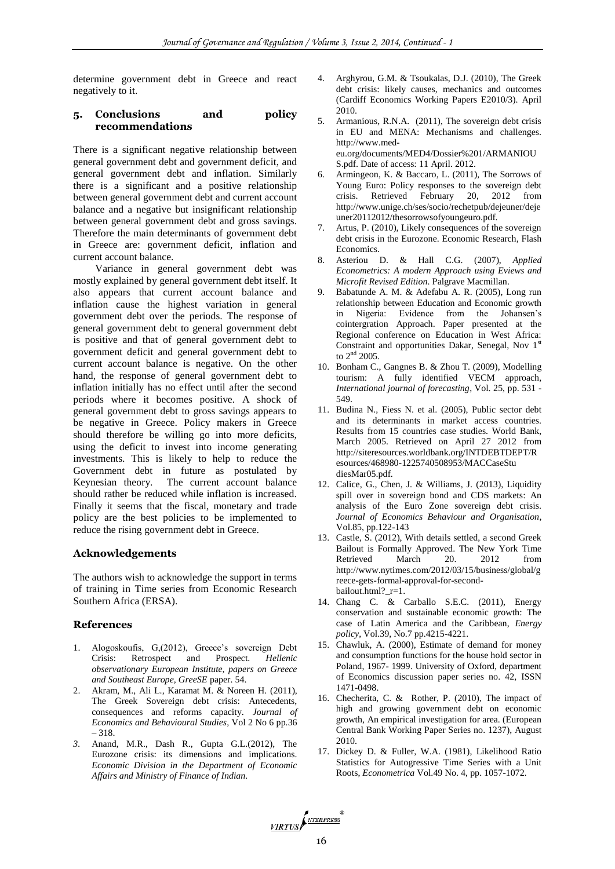determine government debt in Greece and react negatively to it.

# **5. Conclusions and policy recommendations**

There is a significant negative relationship between general government debt and government deficit, and general government debt and inflation. Similarly there is a significant and a positive relationship between general government debt and current account balance and a negative but insignificant relationship between general government debt and gross savings. Therefore the main determinants of government debt in Greece are: government deficit, inflation and current account balance.

Variance in general government debt was mostly explained by general government debt itself. It also appears that current account balance and inflation cause the highest variation in general government debt over the periods. The response of general government debt to general government debt is positive and that of general government debt to government deficit and general government debt to current account balance is negative. On the other hand, the response of general government debt to inflation initially has no effect until after the second periods where it becomes positive. A shock of general government debt to gross savings appears to be negative in Greece. Policy makers in Greece should therefore be willing go into more deficits, using the deficit to invest into income generating investments. This is likely to help to reduce the Government debt in future as postulated by Keynesian theory. The current account balance should rather be reduced while inflation is increased. Finally it seems that the fiscal, monetary and trade policy are the best policies to be implemented to reduce the rising government debt in Greece.

# **Acknowledgements**

The authors wish to acknowledge the support in terms of training in Time series from Economic Research Southern Africa (ERSA).

# **References**

- 1. Alogoskoufis, G,(2012), Greece's sovereign Debt Crisis: Retrospect and Prospect. *Hellenic observationary European Institute, papers on Greece and Southeast Europe, GreeSE* paper. 54.
- 2. Akram, M., Ali L., Karamat M. & Noreen H. (2011), The Greek Sovereign debt crisis: Antecedents, consequences and reforms capacity. *Journal of Economics and Behavioural Studies*, Vol 2 No 6 pp.36 – 318.
- *3.* Anand, M.R., Dash R., Gupta G.L.(2012), The Eurozone crisis: its dimensions and implications. *Economic Division in the Department of Economic Affairs and Ministry of Finance of Indian.*
- 4. Arghyrou, G.M. & Tsoukalas, D.J. (2010), The Greek debt crisis: likely causes, mechanics and outcomes (Cardiff Economics Working Papers E2010/3). April 2010.
- 5. Armanious, R.N.A. (2011), The sovereign debt crisis in EU and MENA: Mechanisms and challenges. http://www.medeu.org/documents/MED4/Dossier%201/ARMANIOU S.pdf. Date of access: 11 April. 2012.
- 6. Armingeon, K. & Baccaro, L. (2011), The Sorrows of Young Euro: Policy responses to the sovereign debt crisis. Retrieved February 20, 2012 from http://www.unige.ch/ses/socio/rechetpub/dejeuner/deje uner20112012/thesorrowsofyoungeuro.pdf.
- Artus, P. (2010), Likely consequences of the sovereign debt crisis in the Eurozone. Economic Research, Flash Economics.
- 8. Asteriou D. & Hall C.G. (2007), *Applied Econometrics: A modern Approach using Eviews and Microfit Revised Edition*. Palgrave Macmillan.
- 9. Babatunde A. M. & Adefabu A. R. (2005), Long run relationship between Education and Economic growth in Nigeria: Evidence from the Johansen's cointergration Approach. Paper presented at the Regional conference on Education in West Africa: Constraint and opportunities Dakar, Senegal, Nov 1<sup>st</sup> to  $2<sup>nd</sup>$  2005.
- 10. Bonham C., Gangnes B. & Zhou T. (2009), Modelling tourism: A fully identified VECM approach, *International journal of forecasting*, Vol. 25, pp. 531 - 549.
- 11. Budina N., Fiess N. et al. (2005), Public sector debt and its determinants in market access countries. Results from 15 countries case studies. World Bank, March 2005. Retrieved on April 27 2012 from http://siteresources.worldbank.org/INTDEBTDEPT/R esources/468980-1225740508953/MACCaseStu diesMar05.pdf.
- 12. Calice, G., Chen, J. & Williams, J. (2013), Liquidity spill over in sovereign bond and CDS markets: An analysis of the Euro Zone sovereign debt crisis. *Journal of Economics Behaviour and Organisation*, Vol.85, pp.122-143
- 13. Castle, S. (2012), With details settled, a second Greek Bailout is Formally Approved. The New York Time Retrieved March 20. 2012 from http://www.nytimes.com/2012/03/15/business/global/g reece-gets-formal-approval-for-secondbailout.html? r=1.
- 14. Chang C. & Carballo S.E.C. (2011), Energy conservation and sustainable economic growth: The case of Latin America and the Caribbean, *Energy policy*, Vol.39, No.7 pp.4215-4221.
- 15. Chawluk, A. (2000), Estimate of demand for money and consumption functions for the house hold sector in Poland, 1967- 1999. University of Oxford, department of Economics discussion paper series no. 42, ISSN 1471-0498.
- 16. Checherita, C. & Rother, P. (2010), The impact of high and growing government debt on economic growth, An empirical investigation for area. (European Central Bank Working Paper Series no. 1237), August 2010.
- 17. Dickey D. & Fuller, W.A. (1981), Likelihood Ratio Statistics for Autogressive Time Series with a Unit Roots, *Econometrica* Vol.49 No. 4, pp. 1057-1072.

VIRTUS NTERPRESS